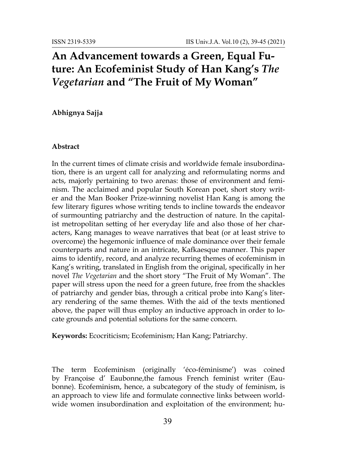## **An Advancement towards a Green, Equal Future: An Ecofeminist Study of Han Kang's** *The Vegetarian* **and "The Fruit of My Woman"**

**Abhignya Sajja**

## **Abstract**

In the current times of climate crisis and worldwide female insubordination, there is an urgent call for analyzing and reformulating norms and acts, majorly pertaining to two arenas: those of environment and feminism. The acclaimed and popular South Korean poet, short story writer and the Man Booker Prize-winning novelist Han Kang is among the few literary figures whose writing tends to incline towards the endeavor of surmounting patriarchy and the destruction of nature. In the capitalist metropolitan setting of her everyday life and also those of her characters, Kang manages to weave narratives that beat (or at least strive to overcome) the hegemonic influence of male dominance over their female counterparts and nature in an intricate, Kafkaesque manner. This paper aims to identify, record, and analyze recurring themes of ecofeminism in Kang's writing, translated in English from the original, specifically in her novel *The Vegetarian* and the short story "The Fruit of My Woman". The paper will stress upon the need for a green future, free from the shackles of patriarchy and gender bias, through a critical probe into Kang's literary rendering of the same themes. With the aid of the texts mentioned above, the paper will thus employ an inductive approach in order to locate grounds and potential solutions for the same concern.

**Keywords:** Ecocriticism; Ecofeminism; Han Kang; Patriarchy.

The term Ecofeminism (originally 'éco-féminisme') was coined by Françoise d' Eaubonne,the famous French feminist writer (Eaubonne). Ecofeminism, hence, a subcategory of the study of feminism, is an approach to view life and formulate connective links between worldwide women insubordination and exploitation of the environment; hu-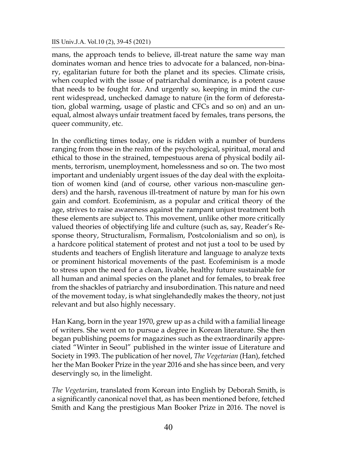## IIS Univ.J.A. Vol.10 (2), 39-45 (2021)

mans, the approach tends to believe, ill-treat nature the same way man dominates woman and hence tries to advocate for a balanced, non-binary, egalitarian future for both the planet and its species. Climate crisis, when coupled with the issue of patriarchal dominance, is a potent cause that needs to be fought for. And urgently so, keeping in mind the current widespread, unchecked damage to nature (in the form of deforestation, global warming, usage of plastic and CFCs and so on) and an unequal, almost always unfair treatment faced by females, trans persons, the queer community, etc.

In the conflicting times today, one is ridden with a number of burdens ranging from those in the realm of the psychological, spiritual, moral and ethical to those in the strained, tempestuous arena of physical bodily ailments, terrorism, unemployment, homelessness and so on. The two most important and undeniably urgent issues of the day deal with the exploitation of women kind (and of course, other various non-masculine genders) and the harsh, ravenous ill-treatment of nature by man for his own gain and comfort. Ecofeminism, as a popular and critical theory of the age, strives to raise awareness against the rampant unjust treatment both these elements are subject to. This movement, unlike other more critically valued theories of objectifying life and culture (such as, say, Reader's Response theory, Structuralism, Formalism, Postcolonialism and so on), is a hardcore political statement of protest and not just a tool to be used by students and teachers of English literature and language to analyze texts or prominent historical movements of the past. Ecofeminism is a mode to stress upon the need for a clean, livable, healthy future sustainable for all human and animal species on the planet and for females, to break free from the shackles of patriarchy and insubordination. This nature and need of the movement today, is what singlehandedly makes the theory, not just relevant and but also highly necessary.

Han Kang, born in the year 1970, grew up as a child with a familial lineage of writers. She went on to pursue a degree in Korean literature. She then began publishing poems for magazines such as the extraordinarily appreciated "Winter in Seoul" published in the winter issue of Literature and Society in 1993. The publication of her novel, *The Vegetarian* (Han), fetched her the Man Booker Prize in the year 2016 and she has since been, and very deservingly so, in the limelight.

*The Vegetarian*, translated from Korean into English by Deborah Smith, is a significantly canonical novel that, as has been mentioned before, fetched Smith and Kang the prestigious Man Booker Prize in 2016. The novel is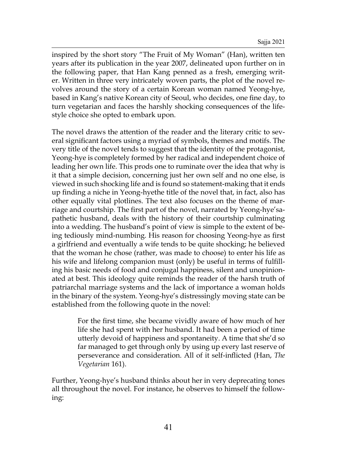inspired by the short story "The Fruit of My Woman" (Han), written ten years after its publication in the year 2007, delineated upon further on in the following paper, that Han Kang penned as a fresh, emerging writer. Written in three very intricately woven parts, the plot of the novel revolves around the story of a certain Korean woman named Yeong-hye, based in Kang's native Korean city of Seoul, who decides, one fine day, to turn vegetarian and faces the harshly shocking consequences of the lifestyle choice she opted to embark upon.

The novel draws the attention of the reader and the literary critic to several significant factors using a myriad of symbols, themes and motifs. The very title of the novel tends to suggest that the identity of the protagonist, Yeong-hye is completely formed by her radical and independent choice of leading her own life. This prods one to ruminate over the idea that why is it that a simple decision, concerning just her own self and no one else, is viewed in such shocking life and is found so statement-making that it ends up finding a niche in Yeong-hyethe title of the novel that, in fact, also has other equally vital plotlines. The text also focuses on the theme of marriage and courtship. The first part of the novel, narrated by Yeong-hye'sapathetic husband, deals with the history of their courtship culminating into a wedding. The husband's point of view is simple to the extent of being tediously mind-numbing. His reason for choosing Yeong-hye as first a girlfriend and eventually a wife tends to be quite shocking; he believed that the woman he chose (rather, was made to choose) to enter his life as his wife and lifelong companion must (only) be useful in terms of fulfilling his basic needs of food and conjugal happiness, silent and unopinionated at best. This ideology quite reminds the reader of the harsh truth of patriarchal marriage systems and the lack of importance a woman holds in the binary of the system. Yeong-hye's distressingly moving state can be established from the following quote in the novel:

> For the first time, she became vividly aware of how much of her life she had spent with her husband. It had been a period of time utterly devoid of happiness and spontaneity. A time that she'd so far managed to get through only by using up every last reserve of perseverance and consideration. All of it self-inflicted (Han, *The Vegetarian* 161).

Further, Yeong-hye's husband thinks about her in very deprecating tones all throughout the novel. For instance, he observes to himself the following: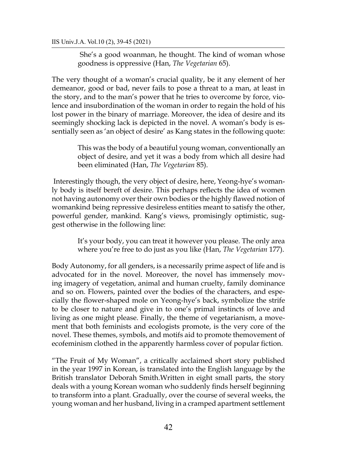She's a good woanman, he thought. The kind of woman whose goodness is oppressive (Han, *The Vegetarian* 65).

The very thought of a woman's crucial quality, be it any element of her demeanor, good or bad, never fails to pose a threat to a man, at least in the story, and to the man's power that he tries to overcome by force, violence and insubordination of the woman in order to regain the hold of his lost power in the binary of marriage. Moreover, the idea of desire and its seemingly shocking lack is depicted in the novel. A woman's body is essentially seen as 'an object of desire' as Kang states in the following quote:

> This was the body of a beautiful young woman, conventionally an object of desire, and yet it was a body from which all desire had been eliminated (Han, *The Vegetarian* 85).

Interestingly though, the very object of desire, here, Yeong-hye's womanly body is itself bereft of desire. This perhaps reflects the idea of women not having autonomy over their own bodies or the highly flawed notion of womankind being repressive desireless entities meant to satisfy the other, powerful gender, mankind. Kang's views, promisingly optimistic, suggest otherwise in the following line:

> It's your body, you can treat it however you please. The only area where you're free to do just as you like (Han, *The Vegetarian* 177).

Body Autonomy, for all genders, is a necessarily prime aspect of life and is advocated for in the novel. Moreover, the novel has immensely moving imagery of vegetation, animal and human cruelty, family dominance and so on. Flowers, painted over the bodies of the characters, and especially the flower-shaped mole on Yeong-hye's back, symbolize the strife to be closer to nature and give in to one's primal instincts of love and living as one might please. Finally, the theme of vegetarianism, a movement that both feminists and ecologists promote, is the very core of the novel. These themes, symbols, and motifs aid to promote themovement of ecofeminism clothed in the apparently harmless cover of popular fiction.

"The Fruit of My Woman", a critically acclaimed short story published in the year 1997 in Korean, is translated into the English language by the British translator Deborah Smith.Written in eight small parts, the story deals with a young Korean woman who suddenly finds herself beginning to transform into a plant. Gradually, over the course of several weeks, the young woman and her husband, living in a cramped apartment settlement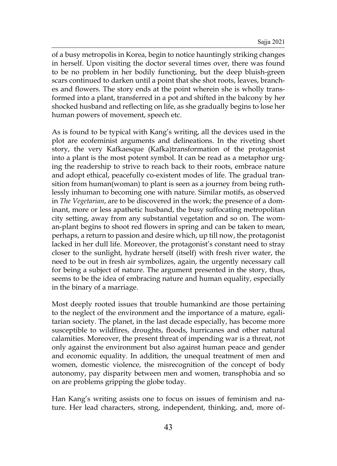of a busy metropolis in Korea, begin to notice hauntingly striking changes in herself. Upon visiting the doctor several times over, there was found to be no problem in her bodily functioning, but the deep bluish-green scars continued to darken until a point that she shot roots, leaves, branches and flowers. The story ends at the point wherein she is wholly transformed into a plant, transferred in a pot and shifted in the balcony by her shocked husband and reflecting on life, as she gradually begins to lose her human powers of movement, speech etc.

As is found to be typical with Kang's writing, all the devices used in the plot are ecofeminist arguments and delineations. In the riveting short story, the very Kafkaesque (Kafka)transformation of the protagonist into a plant is the most potent symbol. It can be read as a metaphor urging the readership to strive to reach back to their roots, embrace nature and adopt ethical, peacefully co-existent modes of life. The gradual transition from human(woman) to plant is seen as a journey from being ruthlessly inhuman to becoming one with nature. Similar motifs, as observed in *The Vegetarian*, are to be discovered in the work; the presence of a dominant, more or less apathetic husband, the busy suffocating metropolitan city setting, away from any substantial vegetation and so on. The woman-plant begins to shoot red flowers in spring and can be taken to mean, perhaps, a return to passion and desire which, up till now, the protagonist lacked in her dull life. Moreover, the protagonist's constant need to stray closer to the sunlight, hydrate herself (itself) with fresh river water, the need to be out in fresh air symbolizes, again, the urgently necessary call for being a subject of nature. The argument presented in the story, thus, seems to be the idea of embracing nature and human equality, especially in the binary of a marriage.

Most deeply rooted issues that trouble humankind are those pertaining to the neglect of the environment and the importance of a mature, egalitarian society. The planet, in the last decade especially, has become more susceptible to wildfires, droughts, floods, hurricanes and other natural calamities. Moreover, the present threat of impending war is a threat, not only against the environment but also against human peace and gender and economic equality. In addition, the unequal treatment of men and women, domestic violence, the misrecognition of the concept of body autonomy, pay disparity between men and women, transphobia and so on are problems gripping the globe today.

Han Kang's writing assists one to focus on issues of feminism and nature. Her lead characters, strong, independent, thinking, and, more of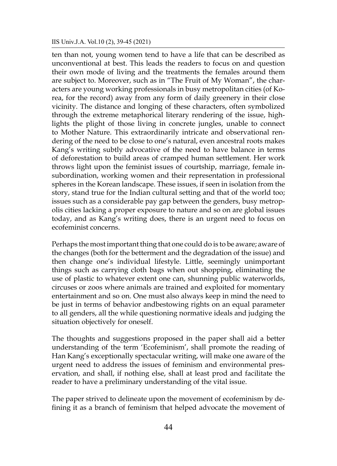ten than not, young women tend to have a life that can be described as unconventional at best. This leads the readers to focus on and question their own mode of living and the treatments the females around them are subject to. Moreover, such as in "The Fruit of My Woman", the characters are young working professionals in busy metropolitan cities (of Korea, for the record) away from any form of daily greenery in their close vicinity. The distance and longing of these characters, often symbolized through the extreme metaphorical literary rendering of the issue, highlights the plight of those living in concrete jungles, unable to connect to Mother Nature. This extraordinarily intricate and observational rendering of the need to be close to one's natural, even ancestral roots makes Kang's writing subtly advocative of the need to have balance in terms of deforestation to build areas of cramped human settlement. Her work throws light upon the feminist issues of courtship, marriage, female insubordination, working women and their representation in professional spheres in the Korean landscape. These issues, if seen in isolation from the story, stand true for the Indian cultural setting and that of the world too; issues such as a considerable pay gap between the genders, busy metropolis cities lacking a proper exposure to nature and so on are global issues today, and as Kang's writing does, there is an urgent need to focus on ecofeminist concerns.

Perhaps the most important thing that one could do is to be aware; aware of the changes (both for the betterment and the degradation of the issue) and then change one's individual lifestyle. Little, seemingly unimportant things such as carrying cloth bags when out shopping, eliminating the use of plastic to whatever extent one can, shunning public waterworlds, circuses or zoos where animals are trained and exploited for momentary entertainment and so on. One must also always keep in mind the need to be just in terms of behavior andbestowing rights on an equal parameter to all genders, all the while questioning normative ideals and judging the situation objectively for oneself.

The thoughts and suggestions proposed in the paper shall aid a better understanding of the term 'Ecofeminism', shall promote the reading of Han Kang's exceptionally spectacular writing, will make one aware of the urgent need to address the issues of feminism and environmental preservation, and shall, if nothing else, shall at least prod and facilitate the reader to have a preliminary understanding of the vital issue.

The paper strived to delineate upon the movement of ecofeminism by defining it as a branch of feminism that helped advocate the movement of